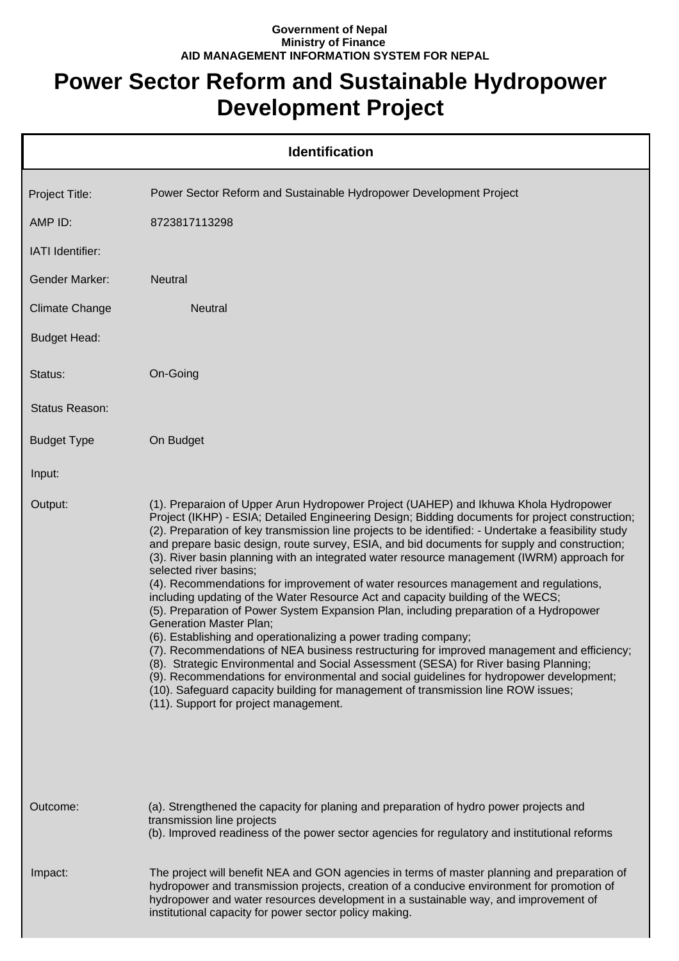## **Government of Nepal Ministry of Finance AID MANAGEMENT INFORMATION SYSTEM FOR NEPAL**

## **Power Sector Reform and Sustainable Hydropower Development Project**

|                       | <b>Identification</b>                                                                                                                                                                                                                                                                                                                                                                                                                                                                                                                                                                                                                                                                                                                                                                                                                                                                                                                                                                                                                                                                                                                                                                                                                                                                                            |  |  |  |
|-----------------------|------------------------------------------------------------------------------------------------------------------------------------------------------------------------------------------------------------------------------------------------------------------------------------------------------------------------------------------------------------------------------------------------------------------------------------------------------------------------------------------------------------------------------------------------------------------------------------------------------------------------------------------------------------------------------------------------------------------------------------------------------------------------------------------------------------------------------------------------------------------------------------------------------------------------------------------------------------------------------------------------------------------------------------------------------------------------------------------------------------------------------------------------------------------------------------------------------------------------------------------------------------------------------------------------------------------|--|--|--|
| Project Title:        | Power Sector Reform and Sustainable Hydropower Development Project                                                                                                                                                                                                                                                                                                                                                                                                                                                                                                                                                                                                                                                                                                                                                                                                                                                                                                                                                                                                                                                                                                                                                                                                                                               |  |  |  |
| AMP ID:               | 8723817113298                                                                                                                                                                                                                                                                                                                                                                                                                                                                                                                                                                                                                                                                                                                                                                                                                                                                                                                                                                                                                                                                                                                                                                                                                                                                                                    |  |  |  |
| IATI Identifier:      |                                                                                                                                                                                                                                                                                                                                                                                                                                                                                                                                                                                                                                                                                                                                                                                                                                                                                                                                                                                                                                                                                                                                                                                                                                                                                                                  |  |  |  |
| <b>Gender Marker:</b> | <b>Neutral</b>                                                                                                                                                                                                                                                                                                                                                                                                                                                                                                                                                                                                                                                                                                                                                                                                                                                                                                                                                                                                                                                                                                                                                                                                                                                                                                   |  |  |  |
| <b>Climate Change</b> | Neutral                                                                                                                                                                                                                                                                                                                                                                                                                                                                                                                                                                                                                                                                                                                                                                                                                                                                                                                                                                                                                                                                                                                                                                                                                                                                                                          |  |  |  |
| <b>Budget Head:</b>   |                                                                                                                                                                                                                                                                                                                                                                                                                                                                                                                                                                                                                                                                                                                                                                                                                                                                                                                                                                                                                                                                                                                                                                                                                                                                                                                  |  |  |  |
| Status:               | On-Going                                                                                                                                                                                                                                                                                                                                                                                                                                                                                                                                                                                                                                                                                                                                                                                                                                                                                                                                                                                                                                                                                                                                                                                                                                                                                                         |  |  |  |
| Status Reason:        |                                                                                                                                                                                                                                                                                                                                                                                                                                                                                                                                                                                                                                                                                                                                                                                                                                                                                                                                                                                                                                                                                                                                                                                                                                                                                                                  |  |  |  |
| <b>Budget Type</b>    | On Budget                                                                                                                                                                                                                                                                                                                                                                                                                                                                                                                                                                                                                                                                                                                                                                                                                                                                                                                                                                                                                                                                                                                                                                                                                                                                                                        |  |  |  |
| Input:                |                                                                                                                                                                                                                                                                                                                                                                                                                                                                                                                                                                                                                                                                                                                                                                                                                                                                                                                                                                                                                                                                                                                                                                                                                                                                                                                  |  |  |  |
| Output:               | (1). Preparaion of Upper Arun Hydropower Project (UAHEP) and Ikhuwa Khola Hydropower<br>Project (IKHP) - ESIA; Detailed Engineering Design; Bidding documents for project construction;<br>(2). Preparation of key transmission line projects to be identified: - Undertake a feasibility study<br>and prepare basic design, route survey, ESIA, and bid documents for supply and construction;<br>(3). River basin planning with an integrated water resource management (IWRM) approach for<br>selected river basins;<br>(4). Recommendations for improvement of water resources management and regulations,<br>including updating of the Water Resource Act and capacity building of the WECS;<br>(5). Preparation of Power System Expansion Plan, including preparation of a Hydropower<br><b>Generation Master Plan;</b><br>(6). Establishing and operationalizing a power trading company;<br>(7). Recommendations of NEA business restructuring for improved management and efficiency;<br>(8). Strategic Environmental and Social Assessment (SESA) for River basing Planning;<br>(9). Recommendations for environmental and social guidelines for hydropower development;<br>(10). Safeguard capacity building for management of transmission line ROW issues;<br>(11). Support for project management. |  |  |  |
| Outcome:              | (a). Strengthened the capacity for planing and preparation of hydro power projects and<br>transmission line projects<br>(b). Improved readiness of the power sector agencies for regulatory and institutional reforms                                                                                                                                                                                                                                                                                                                                                                                                                                                                                                                                                                                                                                                                                                                                                                                                                                                                                                                                                                                                                                                                                            |  |  |  |
| Impact:               | The project will benefit NEA and GON agencies in terms of master planning and preparation of<br>hydropower and transmission projects, creation of a conducive environment for promotion of<br>hydropower and water resources development in a sustainable way, and improvement of<br>institutional capacity for power sector policy making.                                                                                                                                                                                                                                                                                                                                                                                                                                                                                                                                                                                                                                                                                                                                                                                                                                                                                                                                                                      |  |  |  |
|                       |                                                                                                                                                                                                                                                                                                                                                                                                                                                                                                                                                                                                                                                                                                                                                                                                                                                                                                                                                                                                                                                                                                                                                                                                                                                                                                                  |  |  |  |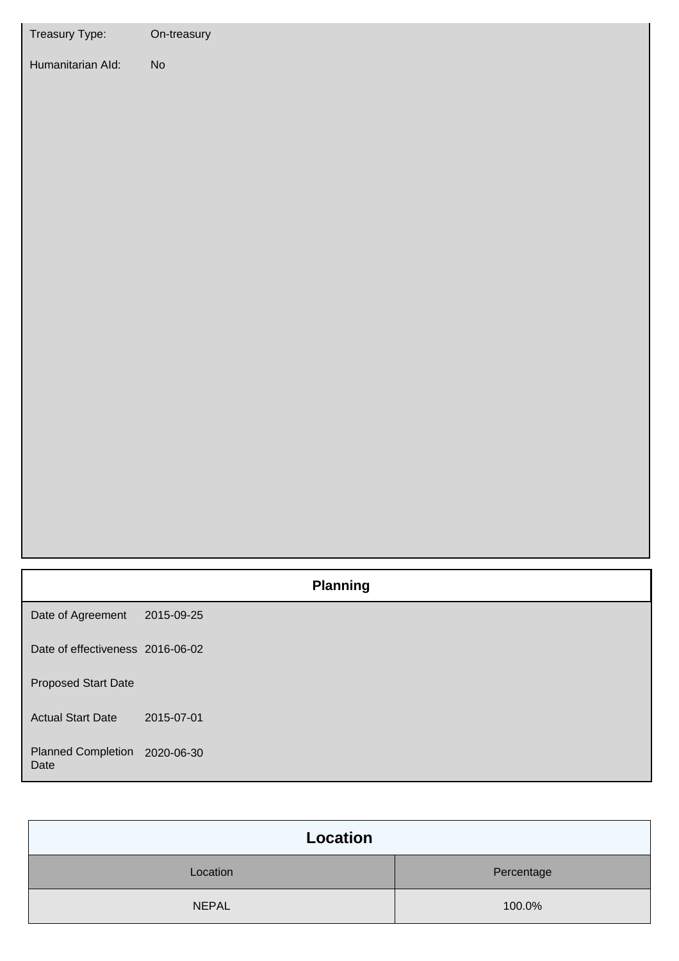| Treasury Type:                    | On-treasury                  |
|-----------------------------------|------------------------------|
| Humanitarian Ald:                 | $\operatorname{\mathsf{No}}$ |
|                                   | <b>Planning</b>              |
| Date of Agreement                 | 2015-09-25                   |
| Date of effectiveness 2016-06-02  |                              |
| <b>Proposed Start Date</b>        |                              |
| <b>Actual Start Date</b>          | 2015-07-01                   |
| <b>Planned Completion</b><br>Date | 2020-06-30                   |

| Location     |            |
|--------------|------------|
| Location     | Percentage |
| <b>NEPAL</b> | 100.0%     |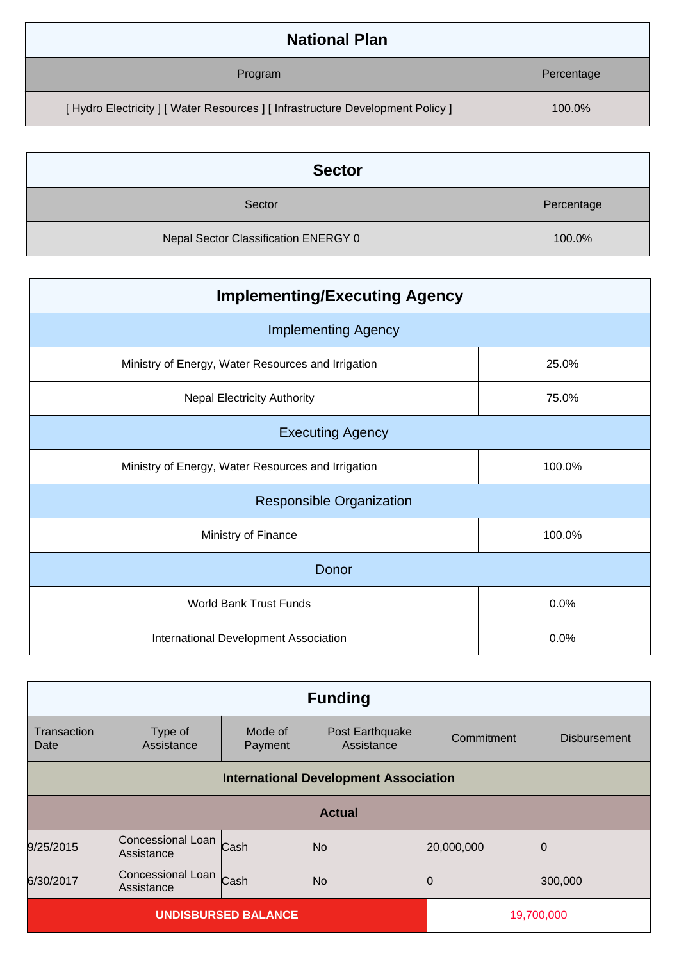| <b>National Plan</b>                                                            |            |
|---------------------------------------------------------------------------------|------------|
| Program                                                                         | Percentage |
| [ Hydro Electricity ] [ Water Resources ] [ Infrastructure Development Policy ] | 100.0%     |

| <b>Sector</b>                        |            |
|--------------------------------------|------------|
| Sector                               | Percentage |
| Nepal Sector Classification ENERGY 0 | 100.0%     |

| <b>Implementing/Executing Agency</b>               |        |  |
|----------------------------------------------------|--------|--|
| <b>Implementing Agency</b>                         |        |  |
| Ministry of Energy, Water Resources and Irrigation | 25.0%  |  |
| <b>Nepal Electricity Authority</b>                 | 75.0%  |  |
| <b>Executing Agency</b>                            |        |  |
| Ministry of Energy, Water Resources and Irrigation | 100.0% |  |
| <b>Responsible Organization</b>                    |        |  |
| Ministry of Finance                                | 100.0% |  |
| Donor                                              |        |  |
| World Bank Trust Funds                             | 0.0%   |  |
| International Development Association              | 0.0%   |  |

| <b>Funding</b>             |                                              |                    |                               |            |                     |
|----------------------------|----------------------------------------------|--------------------|-------------------------------|------------|---------------------|
| Transaction<br>Date        | Type of<br>Assistance                        | Mode of<br>Payment | Post Earthquake<br>Assistance | Commitment | <b>Disbursement</b> |
|                            | <b>International Development Association</b> |                    |                               |            |                     |
| <b>Actual</b>              |                                              |                    |                               |            |                     |
| 9/25/2015                  | Concessional Loan<br>Assistance              | Cash               | No                            | 20,000,000 |                     |
| 6/30/2017                  | Concessional Loan<br>Assistance              | Cash               | No                            |            | 300,000             |
| <b>UNDISBURSED BALANCE</b> |                                              |                    | 19,700,000                    |            |                     |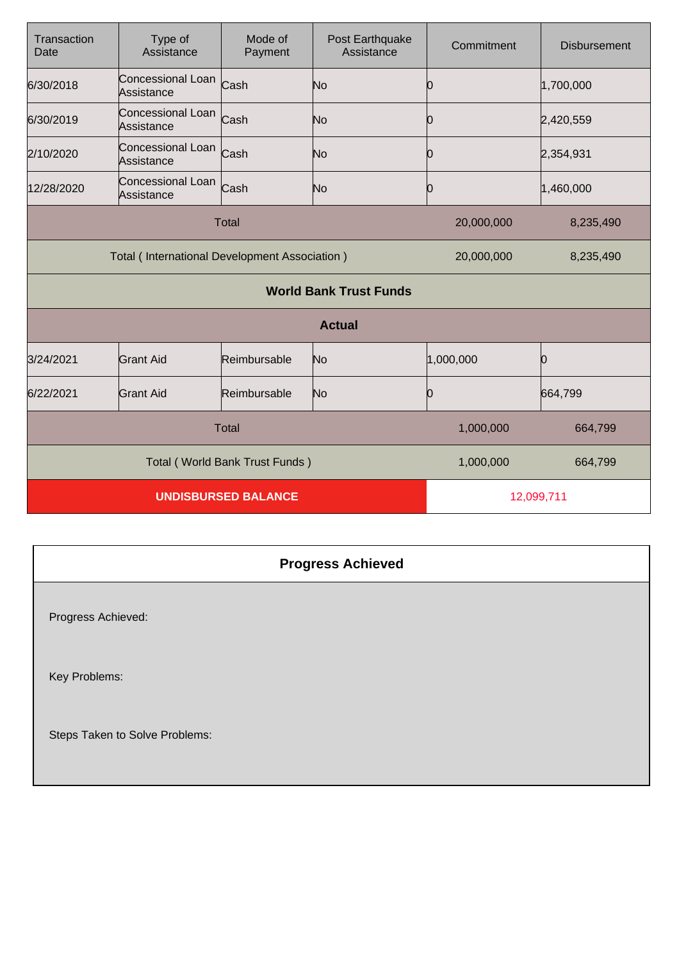| Transaction<br>Date                           | Type of<br>Assistance                | Mode of<br>Payment | Post Earthquake<br>Assistance | Commitment | <b>Disbursement</b> |
|-----------------------------------------------|--------------------------------------|--------------------|-------------------------------|------------|---------------------|
| 6/30/2018                                     | Concessional Loan Cash<br>Assistance |                    | No                            | Ю          | 1,700,000           |
| 6/30/2019                                     | Concessional Loan<br>Assistance      | Cash               | No                            | 0          | 2,420,559           |
| 2/10/2020                                     | Concessional Loan<br>Assistance      | Cash               | No                            | 0          | 2,354,931           |
| 12/28/2020                                    | Concessional Loan<br>Assistance      | Cash               | No                            | 0          | 1,460,000           |
| <b>Total</b>                                  |                                      |                    | 20,000,000                    | 8,235,490  |                     |
| Total (International Development Association) |                                      |                    | 20,000,000                    | 8,235,490  |                     |
|                                               |                                      |                    | <b>World Bank Trust Funds</b> |            |                     |
|                                               |                                      |                    | <b>Actual</b>                 |            |                     |
| 3/24/2021                                     | Grant Aid                            | Reimbursable       | No                            | 1,000,000  | Ŋ                   |
| 6/22/2021                                     | <b>Grant Aid</b>                     | Reimbursable       | No                            | 0          | 664,799             |
| <b>Total</b>                                  |                                      |                    | 1,000,000                     | 664,799    |                     |
| Total (World Bank Trust Funds)                |                                      |                    | 1,000,000                     | 664,799    |                     |
| <b>UNDISBURSED BALANCE</b>                    |                                      |                    | 12,099,711                    |            |                     |

## **Progress Achieved** Progress Achieved: Key Problems: Steps Taken to Solve Problems: